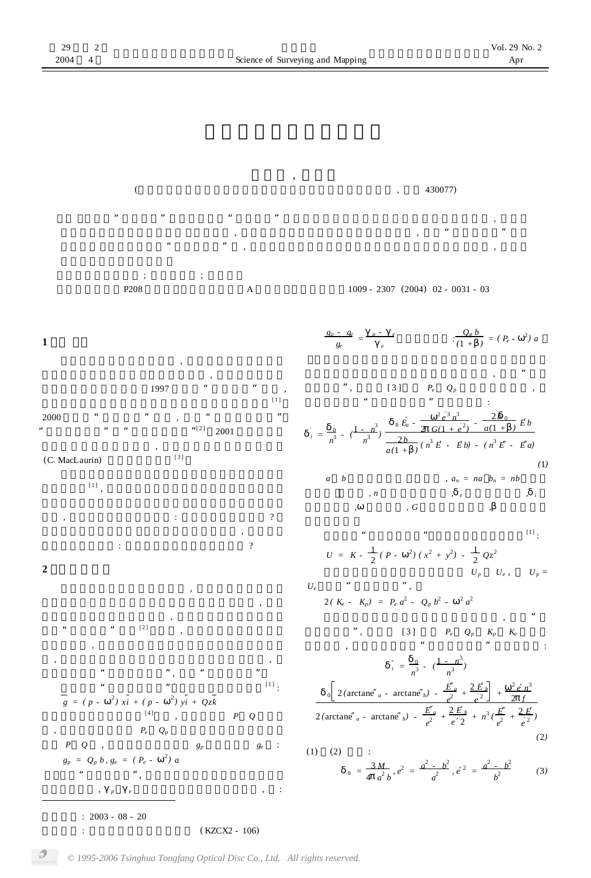**郝晓光** , **刘根友**  $($ 



层的 , 那么接下来的问题应该是 : 地球是匀质分层的吗 ? 于地球是一个旋转椭球。其密度分布与经度无关 , 于是问题 的另一种说法就是 : 地球的密度分布与纬度相关吗 ? **2 准等位条件**

 $\overline{\phantom{a}}$  $\overline{\phantom{a}}$ 

层椭球的密度分布发生变化时 , 椭球表面的重力曲线只是 围绕"重力聚点"旋转[ 2 ] 。所以 , 对于密度分布不同的旋 转椭球来说 , 只要满足椭球极点和赤道两点的重力等位条 , 就能够近似满足椭球表面的重力等位条件。因此 , 把极点和赤道"两点等位条件", 称为"准等位条件"。 先来求解"准等位条件一"。参数椭球表面重力为[ 1 ] : *g = ( p -* 2 *) xi + ( p -* 2 *) yi + Qzk* 与匀质椭球表面重力公式[4 ]不同 , 参数椭球的 *P Q* 不是常 , 而是纬度的函数若 *P<sup>e</sup> Q<sup>p</sup>* 分别为参数椭球在赤道和极 点的 *P Q* , 则参数椭球极点重力 *g<sup>p</sup>* 和赤道重力 *g<sup>e</sup>* : *g<sup>p</sup> = Q<sup>p</sup> b , g<sup>e</sup> = ( P<sup>e</sup> -* 2 *) a* 满足"准等位条件", 参数椭球重力扁率必然等于水准椭

**收稿日期** : 2003 - 08 - 20 **基金项目** : 中国科学院知识创新项目 ( KZCX2 - 106)

 $\mathcal{P}$ 

球的重力扁率 , *<sup>p</sup> <sup>e</sup>* 分别为水准椭球极点和赤道重力 , :

$$
\frac{g_p - g_e}{g_e} = \frac{p - e}{e} \qquad \frac{Q_p b}{(1 + e)^2} = (P_e - e^2) a
$$
\n  
\n  
\n
$$
\frac{g_p - g_e}{(1 + e)^2} = (P_e - e^2) a
$$
\n  
\n  
\n
$$
\frac{g_p - g_e}{(1 + e)^2} = (P_e - e^2) a
$$
\n  
\n
$$
\frac{g_p - g_e}{(1 + e)^2} = (P_e - e^2) a
$$
\n  
\n
$$
\frac{g_p - g_e}{(1 + e)^2} = (P_e - e^2) a
$$
\n  
\n
$$
\frac{g_p - g_e}{(1 + e)^2} = (P_e - e^2) a
$$
\n  
\n
$$
\frac{g_p - g_e}{(1 + e)^2} = (P_e - e^2) a
$$
\n  
\n
$$
\frac{g_p - g_e}{(1 + e)^2} = (P_e - e^2) a
$$
\n  
\n
$$
\frac{g_p - g_e}{(1 + e)^2} = (P_e - e^2) a
$$
\n  
\n
$$
\frac{g_p - g_e}{(1 + e)^2} = (P_e - e^2) a
$$
\n  
\n
$$
\frac{g_p - g_e}{(1 + e)^2} = (P_e - e^2) a
$$
\n  
\n
$$
\frac{g_p - g_e}{(1 + e)^2} = (P_e - e^2) a
$$
\n  
\n
$$
\frac{g_p - g_e}{(1 + e)^2} = (P_e - e^2) a
$$
\n  
\n
$$
\frac{g_p - g_e}{(1 + e)^2} = (P_e - e^2) a
$$
\n  
\n
$$
\frac{g_p - g_e}{(1 + e)^2} = (P_e - e^2) a
$$
\n  
\n
$$
\frac{g_p - g_e}{(1 + e)^2} = (P_e - e^2) a
$$
\n  
\n
$$
\frac{g_p - g_e}{(1 + e)^2} = (P_e - e^2) a
$$
\n  
\n
$$
\frac{g_p - g_e}{(1 + e)^2} = (P_e - e^2) a
$$
\n  
\n
$$
\frac{g_p - g_e}{(1 + e)^2} = (P_e - e^2) a
$$
\n  
\n
$$
\frac{g_p - g_e}{
$$

内密度参数 *,* 为角速度 *, G* 为万有引力常数 *,* 为水准椭球  $[1]$ 

$$
U = K - \frac{1}{2} (P - \frac{2}{3}) (x^2 + y^2) - \frac{1}{2} Qz^2
$$
 [1]

 $U_p$   $U_e$ ,  $U_p$  = *U*<sub>e</sub> ", 2( $K_e$  -  $K_p$ ) =  $P_e a^2$  -  $Q_p b^2$  -  $a^2 a^2$  $\alpha$ 

等位条件二", 将文献 [ 3 ] 中的 *P<sup>e</sup> Q<sup>p</sup> K<sup>p</sup> K<sup>e</sup>* 代入上 式并整理 , 则参数椭球满足"准等位条件二"的内密度为 :

$$
i = \frac{-0}{n^3} - (\frac{1 - n^3}{n^3})
$$
  

$$
0 \left[ 2(\arctan e_a - \arctan e_b) - \frac{E_a}{e^2} + \frac{2E_b}{e^2} \right] + \frac{2e_n^3}{2f}
$$
  

$$
2(\arctan e_a - \arctan e_b) - \frac{E_a}{e^2} + \frac{2E_b}{e^2} + n^3(\frac{E}{e^2} + \frac{2E}{e^2})
$$
  
(2)

(1) (2) :  
\n
$$
0 = \frac{3M}{4 a^2 b}, e^2 = \frac{a^2 - b^2}{a^2}, e^2 = \frac{a^2 - b^2}{b^2}
$$
\n(3)

*© 1995-2006 Tsinghua Tongfang Optical Disc Co., Ltd. All rights reserved.*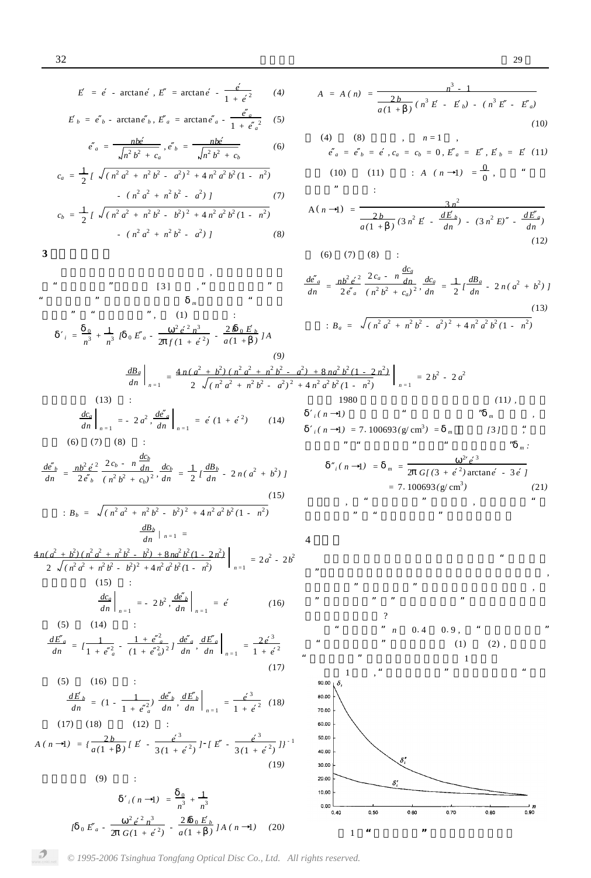$$
E = e - \arctan e, E = \arctan e - \frac{e}{1 + e^2}
$$
 (4)

$$
E_b = e_b - \arctan e_b, E_a = \arctan e_a - \frac{e_a}{1 + e_a^2} \quad (5)
$$

$$
e_a = \frac{nb}{\sqrt{n^2 b^2 + c_a}}, e_b = \frac{nb}{\sqrt{n^2 b^2 + c_b}}
$$
 (6)

$$
c_a = \frac{1}{2} \int \sqrt{(n^2 a^2 + n^2 b^2 - a^2)^2 + 4n^2 a^2 b^2 (1 - n^2)}
$$
  
 
$$
= (n^2 a^2 + n^2 b^2 - a^2) \int (7)
$$
  
\n
$$
c_b = \frac{1}{2} \int \sqrt{(n^2 a^2 + n^2 b^2 - b^2)^2 + 4n^2 a^2 b^2 (1 - n^2)}
$$
  
\n
$$
= (n^2 a^2 + n^2 b^2 - a^2) \int (8)
$$

$$
3\quad \ \
$$

当参数椭球的界面无限趋向表面时 , 我们把内密度称 为"极限内密度"。由文献 [ 3 ] 可知 , "准等位条件二"的 "极限内密度"等于麦克劳林密度 *<sup>m</sup>* 。为了求解"准等位 条件一"的"极限内密度", (1) 式改写为 : *<sup>i</sup> =* 0 *n* <sup>3</sup> *+* 1 *n* 3 *[* <sup>0</sup> *E <sup>a</sup> -* 2 *e* 2 *n* 3 2 *f (*1 *+ e* 2 *) -* 2 *b* <sup>0</sup> *E <sup>b</sup> a (*1 *+ ) ] A dn*

$$
A = A (n) = \frac{n^3 - 1}{a(1 + 1)(n^3 E - E_b) - (n^3 E - E_a)}
$$
\n(10)

(4) (8) , 
$$
n=1
$$
 ,  
\n $e_a = e_b = e$ ,  $c_a = c_b = 0$ ,  $E_a = E$ ,  $E_b = E$  (11)  
\n(10) (11) :  $A(n \rightarrow 1) = \frac{0}{0}$ ,

$$
A(n-1) = \frac{3n^2}{\frac{2b}{a(1+\cdot)}(3n^2E - \frac{dE_b}{dn}) - (3n^2E) - \frac{dE_a}{dn})}
$$
(12)

(6)  $(7)$   $(8)$  :

$$
\frac{de_a}{dn} = \frac{nb^2 e^2}{2e_a} \frac{2c_a - n \frac{dc_a}{dn}}{(n^2 b^2 + c_a)^2}, \frac{dc_a}{dn} = \frac{1}{2} l \frac{dB_a}{dn} - 2n(a^2 + b^2) J
$$
\n(13)\n
$$
B_a = \sqrt{(n^2 a^2 + n^2 b^2 - a^2)^2 + 4n^2 a^2 b^2 (1 - n^2)}
$$

(9)  
\n
$$
\frac{dB_a}{dn}\Big|_{n=1} = \frac{4n(a^2 + b^2)(n^2a^2 + n^2b^2 - a^2) + 8na}{2\sqrt{(n^2a^2 + n^2b^2 - a^2)^2 + 4n^2a^2b^2}}
$$
\n(13) :  
\n
$$
\frac{dc_a}{dn}\Big|_{n=1} = -2a^2, \frac{de_a}{dn}\Big|_{n=1} = e(1 + e^2)
$$
\n(14) 
$$
\frac{(n-1)(n-1)(n-2)}{(n-1)(n-1)(n-2)}
$$
\n(15)

$$
\frac{de_b}{dn} = \frac{nb^2 e^2}{2e_b} \frac{2c_b - n \frac{dc_b}{dn}}{(n^2 b^2 + c_b)^2}, \frac{dc_b}{dn} = \frac{1}{2} l \frac{dB_b}{dn} - 2n(a^2 + b^2) J
$$
\n(15)

$$
B_b = \sqrt{(n^2 a^2 + n^2 b^2 - b^2)^2 + 4 n^2 a^2 b^2 (1 - n^2)}
$$
  

$$
\frac{dB_b}{dn} / n = 1 =
$$

$$
\frac{4n(a^{2} + b^{2})(n^{2}a^{2} + n^{2}b^{2} - b^{2}) + 8n a^{2} b^{2}(1 - 2n^{2})}{2 \sqrt{(n^{2} a^{2} + n^{2} b^{2} - b^{2})^{2} + 4n^{2} a^{2} b^{2}(1 - n^{2})}}\Big|_{n=1} = 2a^{2} - 2b^{2}
$$
\n(15) :  
\n
$$
\frac{dc_{a}}{dn}\Big|_{n=1} = -2b^{2}, \frac{de_{b}}{dn}\Big|_{n=1} = e
$$
\n(16)

(5) (14) :  
\n
$$
\frac{dE_a}{dn} = l \frac{1}{1 + e^{\frac{2}{a}}} - \frac{1 + e^{\frac{2}{a}}}{(1 + e^{\frac{2}{a}})^2} \frac{de_a}{dn} \frac{dE_a}{dn} \bigg|_{n=1} = \frac{2e^3}{1 + e^2}
$$
\n(17)

(5) (16) :  
\n
$$
\frac{dE_b}{dn} = (1 - \frac{1}{1 + e^{\frac{2}{a}}}) \frac{de_b}{dn}, \frac{dE_b}{dn} \bigg|_{n=1} = \frac{e^3}{1 + e^2}
$$
\n(18)

$$
A(n-1) = \left\{ \frac{2b}{a(1+1)} \left[ E - \frac{e^3}{3(1+e^2)} \right] - \left[ E - \frac{e^3}{3(1+e^2)} \right] \right\}^{-1}
$$
\n(19)

$$
(9) \qquad \qquad :
$$

 $\mathcal{D}$ 

$$
i(n-1) = \frac{0}{n^3} + \frac{1}{n^3}
$$
  

$$
i(n-2) = \frac{2e^2n^3}{n^3} + \frac{2b_0E_b}{n^3}i(n-1)
$$
 (20)

$$
\frac{1+8na^2b^2(1-2n^2)}{4n^2a^2b^2(1-n^2)}\Big|_{n=1} = 2b^2 - 2a^2
$$
\n(11),  
\n1980 (11),  
\n
$$
i(n-1) = 7.100693(g/cm^3) = m
$$
\n(13),  
\n... ,  
\n... ,  
\n
$$
i(n-1) = 7.100693(g/cm^3) = m
$$
\n(15),  
\n... ,  
\n... ,  
\n
$$
i(n-1) = m = \frac{2e^3}{2 G[(3+e^2)\arctan e - 3e]}
$$
\n(21),  
\n... ,  
\n... ,  
\n... ,  
\n(21)



0

*© 1995-2006 Tsinghua Tongfang Optical Disc Co., Ltd. All rights reserved.*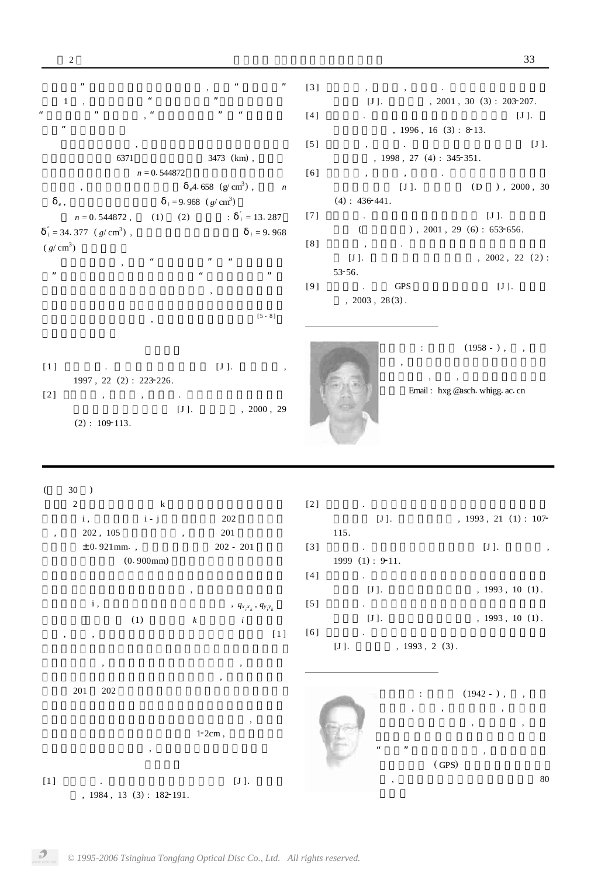| ,,                                 | ,,                                                                                          | $[3]$   |                                  |                                                 |
|------------------------------------|---------------------------------------------------------------------------------------------|---------|----------------------------------|-------------------------------------------------|
| 66                                 |                                                                                             |         | $^\circ$                         |                                                 |
| $\mathbf{1}$<br>,,                 | 66                                                                                          |         | $[J]$ .                          | , $2001$ , $30$ $(3)$ : $203-207$ .             |
|                                    |                                                                                             | $[4]$   | $\ddot{\phantom{0}}$             | $[J]$ .                                         |
| ,,                                 |                                                                                             |         |                                  | $, 1996, 16(3): 8-13.$                          |
|                                    |                                                                                             | [5]     | $\sim 100$ km s $^{-1}$<br>$, -$ | $[J]$ .                                         |
| 6371                               | 3473 (km),                                                                                  |         |                                  | , $1998$ , $27$ (4): $345-351$ .                |
| $n = 0.544872$                     |                                                                                             | [6]     |                                  |                                                 |
|                                    |                                                                                             |         | $\bullet$ .                      |                                                 |
|                                    | $_e$ 4.658 (g/cm <sup>3</sup> ),<br>$\overline{n}$                                          |         | $[J]$ .                          | $(D)$ , 2000, 30                                |
| $\it e$ ,                          | $i = 9.968$ (g/cm <sup>3</sup> )                                                            |         | $(4): 436 - 441.$                |                                                 |
| $n=0.\,544872$ ,<br>(1)            | (2)<br>$\therefore$ $i = 13.287$                                                            | [7]     | $\bullet$                        | $[J]$ .                                         |
| $i = 34.377$ (g/cm <sup>3</sup> ), | $i = 9.968$                                                                                 |         | $\left($                         | ), $2001$ , $29$ (6): $653-656$ .               |
|                                    |                                                                                             | [8]     | $\sim$                           |                                                 |
| $(g/cm^3)$                         |                                                                                             |         | $\cdot$                          |                                                 |
|                                    |                                                                                             |         | $[J]$ .                          | , $2002$ , $22$ $(2)$ :                         |
| $\pmb{\mathfrak{y}}$               | $\pmb{\mathfrak{y}}$                                                                        |         | 53-56.                           |                                                 |
|                                    |                                                                                             | [9]     | <b>GPS</b><br>$\Delta$           | $[J]$ .                                         |
|                                    |                                                                                             |         | , $2003$ , $28(3)$ .             |                                                 |
|                                    | $[5 - 8]$                                                                                   |         |                                  |                                                 |
|                                    |                                                                                             |         |                                  |                                                 |
|                                    |                                                                                             |         |                                  |                                                 |
|                                    |                                                                                             |         |                                  | $(1958 - )$ ,<br>$\ddot{\phantom{a}}$<br>$\sim$ |
|                                    |                                                                                             |         |                                  |                                                 |
| $[1]$<br><b>Contract Contract</b>  | $[\,J\,]$ .<br>$\, ,$                                                                       |         |                                  |                                                 |
| 1997, 22 (2): 223-226.             |                                                                                             |         |                                  | $^\circ$<br>$\mathcal{P}$ . $\mathcal{P}$       |
| [2]<br>$\bullet$<br>$^\circ$       | $\sim 100$ km s $^{-1}$                                                                     |         |                                  | Email: hxg @asch. whigg. ac. cn                 |
|                                    | $[J]$ .<br>, 2000, 29                                                                       |         |                                  |                                                 |
| $(2): 109-113.$                    |                                                                                             |         |                                  |                                                 |
|                                    |                                                                                             |         |                                  |                                                 |
|                                    |                                                                                             |         |                                  |                                                 |
|                                    |                                                                                             |         |                                  |                                                 |
|                                    |                                                                                             |         |                                  |                                                 |
|                                    |                                                                                             |         |                                  |                                                 |
| $30$ )<br>$\overline{ }$           |                                                                                             |         |                                  |                                                 |
| $\sqrt{2}$<br>$\bf k$              |                                                                                             | [2]     |                                  |                                                 |
| i,<br>$i - j$                      | 202                                                                                         |         | $[J]$ .                          | , 1993, 21 (1): 107                             |
| 202, 105                           | $201\,$                                                                                     | 115.    |                                  |                                                 |
| $\, ,$                             | $^\circ$                                                                                    |         |                                  |                                                 |
| $± 0.921$ mm.,                     | $202 - 201$                                                                                 | $[3]$   |                                  | $[J]$ .                                         |
| (0.900mm)                          |                                                                                             |         | 1999 (1): 9-11.                  |                                                 |
|                                    |                                                                                             | $[4]$   | $\mathcal{L}^{\text{max}}$       |                                                 |
|                                    | $^\circ$                                                                                    |         | $[J]$ .                          | $, 1993, 10(1)$ .                               |
| i,                                 |                                                                                             | [5]     | $\mathcal{L}^{\text{max}}$       |                                                 |
|                                    | , $q_{\boldsymbol{x}_{i} \boldsymbol{x}_{k}}, \, q_{\boldsymbol{y}_{i} \boldsymbol{y}_{k}}$ |         |                                  |                                                 |
| $\left( 1\right)$                  | $\boldsymbol{k}$<br>$\overline{i}$                                                          |         | $[\mathrm{J}\,]$ .               | $, 1993, 10(1)$ .                               |
| $^\circ$<br>$^\circ$               | $[1]$                                                                                       | [6]     | $\Box$                           |                                                 |
|                                    |                                                                                             | $[J]$ . |                                  | $, 1993, 2(3)$ .                                |
|                                    |                                                                                             |         |                                  |                                                 |
| $^\circ$                           |                                                                                             |         |                                  |                                                 |
|                                    |                                                                                             |         |                                  |                                                 |
| $201\,$<br>$202\,$                 |                                                                                             |         | $\ddot{\phantom{a}}$             |                                                 |
|                                    |                                                                                             |         |                                  | $(1942 - )$ ,<br>$\overline{\phantom{a}}$       |
|                                    |                                                                                             |         |                                  |                                                 |
|                                    |                                                                                             |         |                                  |                                                 |
|                                    |                                                                                             |         |                                  | $\, ,$<br>$\, ,$                                |
|                                    | $1-2cm$ ,                                                                                   |         |                                  |                                                 |
| $^\circ$                           |                                                                                             |         | $\epsilon\epsilon$<br>,,         |                                                 |
|                                    |                                                                                             |         |                                  | $(\mathop{\mathrm{GPS}})$                       |
| $[1]$                              | $[\,J\,]$ .                                                                                 |         |                                  | $80\,$                                          |

 $, 1984, 13 (3): 182-191.$